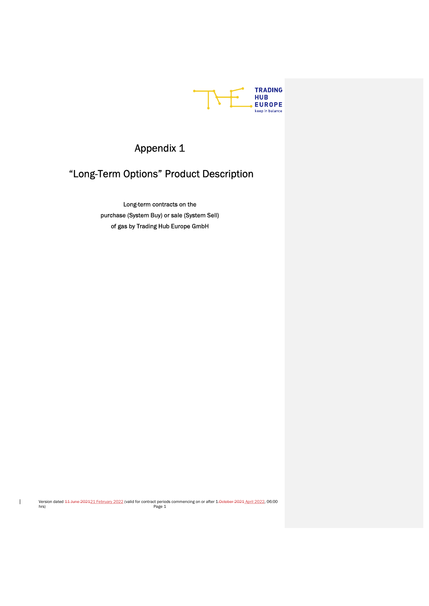

# Appendix 1

# "Long-Term Options" Product Description

Long-term contracts on the purchase (System Buy) or sale (System Sell) of gas by Trading Hub Europe GmbH

Version dated <del>11 June 2021</del>21 February 2022 (valid for contract periods commencing on or after 1<del>.0ctober 2021</del> April 2022, 06:00<br>Page 1

 $\mathbf{I}$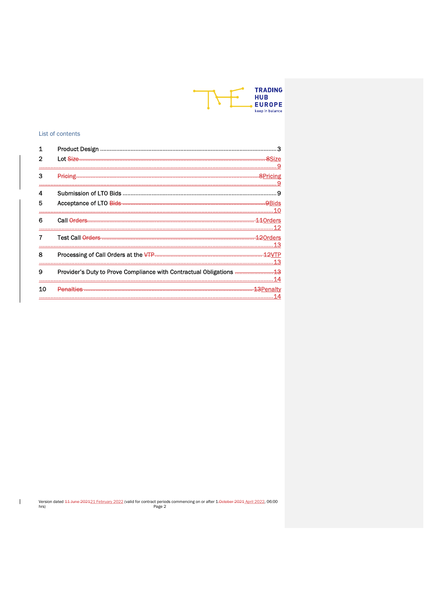

# List of contents

 $\mathbb T$ 

|    | <b>Product Design</b> |     |
|----|-----------------------|-----|
|    | Lot Size              |     |
|    |                       |     |
| з  |                       |     |
| 4  |                       | 9   |
| 5  |                       |     |
|    |                       |     |
| 6  | Call Orders           |     |
|    |                       |     |
|    |                       |     |
|    |                       |     |
| 8  |                       |     |
|    |                       | .13 |
| 9  |                       |     |
|    |                       |     |
| 10 | Penalties             |     |
|    |                       |     |

Version dated 44-June 202421 February 2022 (valid for contract periods commencing on or after 1.0eteber 2024 April 2022, 06:00 hrs)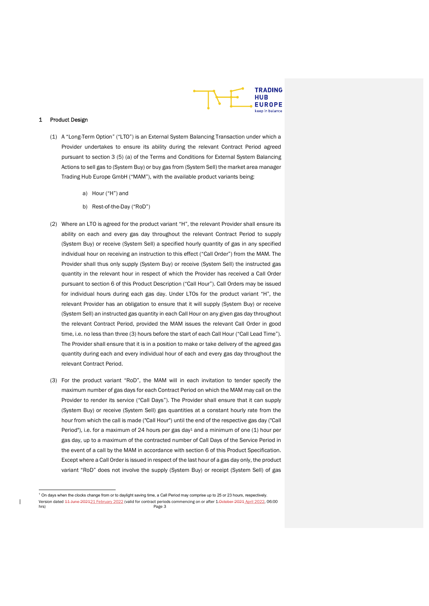

## 1 Product Design

 $\overline{\phantom{a}}$ 

- (1) A "Long-Term Option" ("LTO") is an External System Balancing Transaction under which a Provider undertakes to ensure its ability during the relevant Contract Period agreed pursuant to section 3 (5) (a) of the Terms and Conditions for External System Balancing Actions to sell gas to (System Buy) or buy gas from (System Sell) the market area manager Trading Hub Europe GmbH ("MAM"), with the available product variants being:
	- a) Hour ("H") and
	- b) Rest-of-the-Day ("RoD")
- (2) Where an LTO is agreed for the product variant "H", the relevant Provider shall ensure its ability on each and every gas day throughout the relevant Contract Period to supply (System Buy) or receive (System Sell) a specified hourly quantity of gas in any specified individual hour on receiving an instruction to this effect ("Call Order") from the MAM. The Provider shall thus only supply (System Buy) or receive (System Sell) the instructed gas quantity in the relevant hour in respect of which the Provider has received a Call Order pursuant to section 6 of this Product Description ("Call Hour"). Call Orders may be issued for individual hours during each gas day. Under LTOs for the product variant "H", the relevant Provider has an obligation to ensure that it will supply (System Buy) or receive (System Sell) an instructed gas quantity in each Call Hour on any given gas day throughout the relevant Contract Period, provided the MAM issues the relevant Call Order in good time, i.e. no less than three (3) hours before the start of each Call Hour ("Call Lead Time"). The Provider shall ensure that it is in a position to make or take delivery of the agreed gas quantity during each and every individual hour of each and every gas day throughout the relevant Contract Period.
- (3) For the product variant "RoD", the MAM will in each invitation to tender specify the maximum number of gas days for each Contract Period on which the MAM may call on the Provider to render its service ("Call Days"). The Provider shall ensure that it can supply (System Buy) or receive (System Sell) gas quantities at a constant hourly rate from the hour from which the call is made ("Call Hour") until the end of the respective gas day ("Call Period"), i.e. for a maximum of 24 hours per gas day<sup>1</sup> and a minimum of one  $(1)$  hour per gas day, up to a maximum of the contracted number of Call Days of the Service Period in the event of a call by the MAM in accordance with section 6 of this Product Specification. Except where a Call Order is issued in respect of the last hour of a gas day only, the product variant "RoD" does not involve the supply (System Buy) or receipt (System Sell) of gas

Version dated <del>11 June 2021</del>21 February 2022 (valid for contract periods commencing on or after 1<del>.0ctober 2021</del> April 2022, 06:00<br>Page 3 <sup>1</sup> On days when the clocks change from or to daylight saving time, a Call Period may comprise up to 25 or 23 hours, respectively.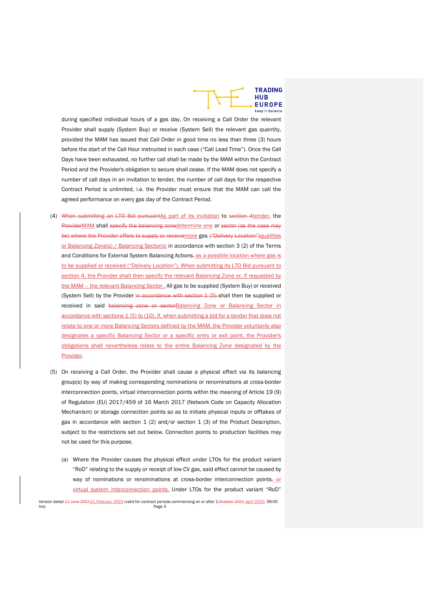

during specified individual hours of a gas day. On receiving a Call Order the relevant Provider shall supply (System Buy) or receive (System Sell) the relevant gas quantity, provided the MAM has issued that Call Order in good time no less than three (3) hours before the start of the Call Hour instructed in each case ("Call Lead Time"). Once the Call Days have been exhausted, no further call shall be made by the MAM within the Contract Period and the Provider's obligation to secure shall cease. If the MAM does not specify a number of call days in an invitation to tender, the number of call days for the respective Contract Period is unlimited, i.e. the Provider must ensure that the MAM can call the agreed performance on every gas day of the Contract Period.

- (4) When submitting an LTO Bid pursuantAs part of its invitation to section 4tender, the ProviderMAM shall specify the balancing zonedetermine one or sector (as the case may be) where the Provider offers to supply or receivemore gas ("Delivery Location")qualities or Balancing Zone(s) / Balancing Sector(s) in accordance with section 3 (2) of the Terms and Conditions for External System Balancing Actions. as a possible location where gas is to be supplied or received ("Delivery Location"). When submitting its LTO Bid pursuant to section 4, the Provider shall then specify the relevant Balancing Zone or, if requested by the MAM - the relevant Balancing Sector . All gas to be supplied (System Buy) or received (System Sell) by the Provider in accordance with section 1 (5)-shall then be supplied or received in said balancing zone or sectorBalancing Zone or Balancing Sector in accordance with sections 1 (5) to (10). If, when submitting a bid for a tender that does not relate to one or more Balancing Sectors defined by the MAM, the Provider voluntarily also designates a specific Balancing Sector or a specific entry or exit point, the Provider's obligations shall nevertheless relate to the entire Balancing Zone designated by the Provider.
- (5) On receiving a Call Order, the Provider shall cause a physical effect via its balancing group(s) by way of making corresponding nominations or renominations at cross-border interconnection points, virtual interconnection points within the meaning of Article 19 (9) of Regulation (EU) 2017/459 of 16 March 2017 (Network Code on Capacity Allocation Mechanism) or storage connection points so as to initiate physical inputs or offtakes of gas in accordance with section  $1$  (2) and/or section  $1$  (3) of the Product Description, subject to the restrictions set out below. Connection points to production facilities may not be used for this purpose.
	- (a) Where the Provider causes the physical effect under LTOs for the product variant "RoD" relating to the supply or receipt of low CV gas, said effect cannot be caused by way of nominations or renominations at cross-border interconnection points. or virtual system interconnection points. Under LTOs for the product variant "RoD"

Version dated <del>11 June 202121 February 2022</del> (valid for contract periods commencing on or after 1.<del>0ctober 2021</del> April 2022, 06:00<br>Page 4 hrs) Page 4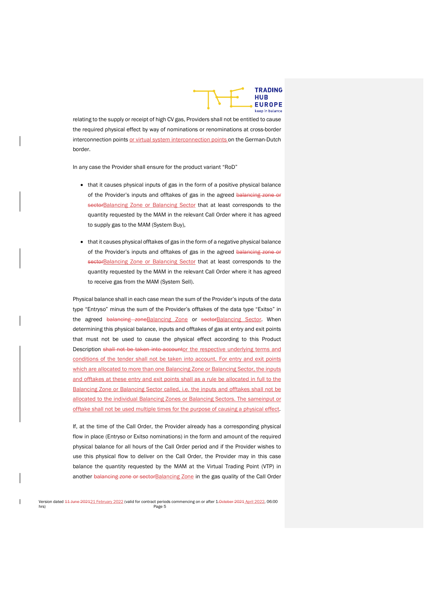

relating to the supply or receipt of high CV gas, Providers shall not be entitled to cause the required physical effect by way of nominations or renominations at cross-border interconnection points or virtual system interconnection points on the German-Dutch border.

In any case the Provider shall ensure for the product variant "RoD"

- that it causes physical inputs of gas in the form of a positive physical balance of the Provider's inputs and offtakes of gas in the agreed balancing zone or sectorBalancing Zone or Balancing Sector that at least corresponds to the quantity requested by the MAM in the relevant Call Order where it has agreed to supply gas to the MAM (System Buy),
- that it causes physical offtakes of gas in the form of a negative physical balance of the Provider's inputs and offtakes of gas in the agreed balancing zone or sectorBalancing Zone or Balancing Sector that at least corresponds to the quantity requested by the MAM in the relevant Call Order where it has agreed to receive gas from the MAM (System Sell).

Physical balance shall in each case mean the sum of the Provider's inputs of the data type "Entryso" minus the sum of the Provider's offtakes of the data type "Exitso" in the agreed balancing zoneBalancing Zone or sectorBalancing Sector. When determining this physical balance, inputs and offtakes of gas at entry and exit points that must not be used to cause the physical effect according to this Product Description shall not be taken into accountor the respective underlying terms and conditions of the tender shall not be taken into account. For entry and exit points which are allocated to more than one Balancing Zone or Balancing Sector, the inputs and offtakes at these entry and exit points shall as a rule be allocated in full to the Balancing Zone or Balancing Sector called, i.e. the inputs and offtakes shall not be allocated to the individual Balancing Zones or Balancing Sectors. The sameinput or offtake shall not be used multiple times for the purpose of causing a physical effect.

If, at the time of the Call Order, the Provider already has a corresponding physical flow in place (Entryso or Exitso nominations) in the form and amount of the required physical balance for all hours of the Call Order period and if the Provider wishes to use this physical flow to deliver on the Call Order, the Provider may in this case balance the quantity requested by the MAM at the Virtual Trading Point (VTP) in another balancing zone or sectorBalancing Zone in the gas quality of the Call Order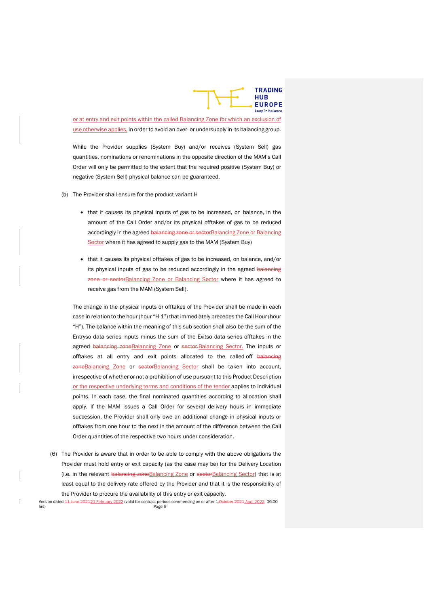

or at entry and exit points within the called Balancing Zone for which an exclusion of use otherwise applies, in order to avoid an over- or undersupply in its balancing group.

While the Provider supplies (System Buy) and/or receives (System Sell) gas quantities, nominations or renominations in the opposite direction of the MAM's Call Order will only be permitted to the extent that the required positive (System Buy) or negative (System Sell) physical balance can be guaranteed.

- (b) The Provider shall ensure for the product variant H
	- that it causes its physical inputs of gas to be increased, on balance, in the amount of the Call Order and/or its physical offtakes of gas to be reduced accordingly in the agreed balancing zone or sectorBalancing Zone or Balancing Sector where it has agreed to supply gas to the MAM (System Buy)
	- that it causes its physical offtakes of gas to be increased, on balance, and/or its physical inputs of gas to be reduced accordingly in the agreed balancing zone or sectorBalancing Zone or Balancing Sector where it has agreed to receive gas from the MAM (System Sell).

The change in the physical inputs or offtakes of the Provider shall be made in each case in relation to the hour (hour "H-1") that immediately precedes the Call Hour (hour "H"). The balance within the meaning of this sub-section shall also be the sum of the Entryso data series inputs minus the sum of the Exitso data series offtakes in the agreed balancing zone Balancing Zone or sector. Balancing Sector. The inputs or offtakes at all entry and exit points allocated to the called-off balaneing zoneBalancing Zone or sectorBalancing Sector shall be taken into account, irrespective of whether or not a prohibition of use pursuant to this Product Description or the respective underlying terms and conditions of the tender applies to individual points. In each case, the final nominated quantities according to allocation shall apply. If the MAM issues a Call Order for several delivery hours in immediate succession, the Provider shall only owe an additional change in physical inputs or offtakes from one hour to the next in the amount of the difference between the Call Order quantities of the respective two hours under consideration.

(6) The Provider is aware that in order to be able to comply with the above obligations the Provider must hold entry or exit capacity (as the case may be) for the Delivery Location (i.e. in the relevant balancing zoneBalancing Zone or sectorBalancing Sector) that is at least equal to the delivery rate offered by the Provider and that it is the responsibility of the Provider to procure the availability of this entry or exit capacity.

Version dated <del>11 June 202121 February 2022</del> (valid for contract periods commencing on or after 1.<del>0ctober 2021</del> April 2022, 06:00 hrs) Page 6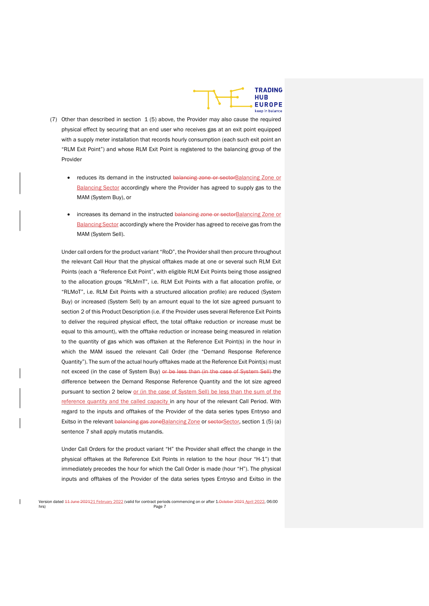

- (7) Other than described in section 1 (5) above, the Provider may also cause the required physical effect by securing that an end user who receives gas at an exit point equipped with a supply meter installation that records hourly consumption (each such exit point an "RLM Exit Point") and whose RLM Exit Point is registered to the balancing group of the Provider
	- reduces its demand in the instructed balancing zone or sectorBalancing Zone or **Balancing Sector accordingly where the Provider has agreed to supply gas to the** MAM (System Buy), or
	- increases its demand in the instructed balancing zone or sectorBalancing Zone or Balancing Sector accordingly where the Provider has agreed to receive gas from the MAM (System Sell).

Under call orders for the product variant "RoD", the Provider shall then procure throughout the relevant Call Hour that the physical offtakes made at one or several such RLM Exit Points (each a "Reference Exit Point", with eligible RLM Exit Points being those assigned to the allocation groups "RLMmT", i.e. RLM Exit Points with a flat allocation profile, or "RLMoT", i.e. RLM Exit Points with a structured allocation profile) are reduced (System Buy) or increased (System Sell) by an amount equal to the lot size agreed pursuant to section 2 of this Product Description (i.e. if the Provider uses several Reference Exit Points to deliver the required physical effect, the total offtake reduction or increase must be equal to this amount), with the offtake reduction or increase being measured in relation to the quantity of gas which was offtaken at the Reference Exit Point(s) in the hour in which the MAM issued the relevant Call Order (the "Demand Response Reference Quantity"). The sum of the actual hourly offtakes made at the Reference Exit Point(s) must not exceed (in the case of System Buy) or be less than (in the case of System Sell) the difference between the Demand Response Reference Quantity and the lot size agreed pursuant to section 2 below or (in the case of System Sell) be less than the sum of the reference quantity and the called capacity in any hour of the relevant Call Period. With regard to the inputs and offtakes of the Provider of the data series types Entryso and Exitso in the relevant balancing gas zoneBalancing Zone or sectorSector, section 1 (5) (a) sentence 7 shall apply mutatis mutandis.

Under Call Orders for the product variant "H" the Provider shall effect the change in the physical offtakes at the Reference Exit Points in relation to the hour (hour "H-1") that immediately precedes the hour for which the Call Order is made (hour "H"). The physical inputs and offtakes of the Provider of the data series types Entryso and Exitso in the

Version dated <del>11 June 202121 February 2022</del> (valid for contract periods commencing on or after 1.<del>October 2021</del> April 2022, 06:00<br>Page 7 hrs) Page 7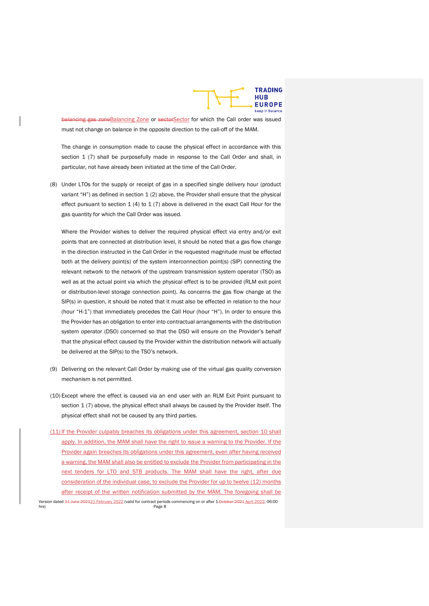

balancing gas zoneBalancing Zone or sectorSector for which the Call order was issued must not change on balance in the opposite direction to the call-off of the MAM.

The change in consumption made to cause the physical effect in accordance with this section 1 (7) shall be purposefully made in response to the Call Order and shall, in particular, not have already been initiated at the time of the Call Order.

(8) Under LTOs for the supply or receipt of gas in a specified single delivery hour (product variant "H") as defined in section  $1(2)$  above, the Provider shall ensure that the physical effect pursuant to section  $1$  (4) to  $1$  (7) above is delivered in the exact Call Hour for the gas quantity for which the Call Order was issued.

Where the Provider wishes to deliver the required physical effect via entry and/or exit points that are connected at distribution level, it should be noted that a gas flow change in the direction instructed in the Call Order in the requested magnitude must be effected both at the delivery point(s) of the system interconnection point(s) (SIP) connecting the relevant network to the network of the upstream transmission system operator (TSO) as well as at the actual point via which the physical effect is to be provided (RLM exit point or distribution-level storage connection point). As concerns the gas flow change at the SIP(s) in question, it should be noted that it must also be effected in relation to the hour (hour "H-1") that immediately precedes the Call Hour (hour "H"). In order to ensure this the Provider has an obligation to enter into contractual arrangements with the distribution system operator (DSO) concerned so that the DSO will ensure on the Provider's behalf that the physical effect caused by the Provider within the distribution network will actually be delivered at the SIP(s) to the TSO's network.

- (9) Delivering on the relevant Call Order by making use of the virtual gas quality conversion mechanism is not permitted.
- (10) Except where the effect is caused via an end user with an RLM Exit Point pursuant to section 1 (7) above, the physical effect shall always be caused by the Provider itself. The physical effect shall not be caused by any third parties.
- Version dated <del>11 June 202121 February 2022</del> (valid for contract periods commencing on or after 1.<del>0ctober 2021</del> April 2022, 06:00 Page 8 (11) If the Provider culpably breaches its obligations under this agreement, section 10 shall apply. In addition, the MAM shall have the right to issue a warning to the Provider. If the Provider again breaches its obligations under this agreement, even after having received a warning, the MAM shall also be entitled to exclude the Provider from participating in the next tenders for LTO and STB products. The MAM shall have the right, after due consideration of the individual case, to exclude the Provider for up to twelve (12) months after receipt of the written notification submitted by the MAM. The foregoing shall be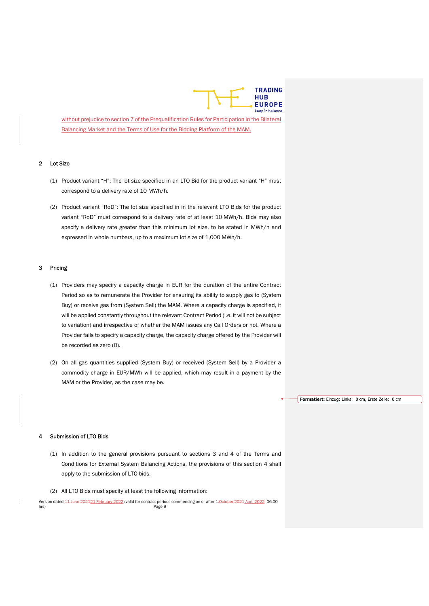

without prejudice to section 7 of the Prequalification Rules for Participation in the Bilateral Balancing Market and the Terms of Use for the Bidding Platform of the MAM.

### 2 Lot Size

- (1) Product variant "H": The lot size specified in an LTO Bid for the product variant "H" must correspond to a delivery rate of 10 MWh/h.
- (2) Product variant "RoD": The lot size specified in in the relevant LTO Bids for the product variant "RoD" must correspond to a delivery rate of at least 10 MWh/h. Bids may also specify a delivery rate greater than this minimum lot size, to be stated in MWh/h and expressed in whole numbers, up to a maximum lot size of 1,000 MWh/h.

#### 3 Pricing

- (1) Providers may specify a capacity charge in EUR for the duration of the entire Contract Period so as to remunerate the Provider for ensuring its ability to supply gas to (System Buy) or receive gas from (System Sell) the MAM. Where a capacity charge is specified, it will be applied constantly throughout the relevant Contract Period (i.e. it will not be subject to variation) and irrespective of whether the MAM issues any Call Orders or not. Where a Provider fails to specify a capacity charge, the capacity charge offered by the Provider will be recorded as zero (0).
- (2) On all gas quantities supplied (System Buy) or received (System Sell) by a Provider a commodity charge in EUR/MWh will be applied, which may result in a payment by the MAM or the Provider, as the case may be.

Formatiert: Einzug: Links: 0 cm, Erste Zeile: 0 cm

#### Submission of LTO Bids

- (1) In addition to the general provisions pursuant to sections 3 and 4 of the Terms and Conditions for External System Balancing Actions, the provisions of this section 4 shall apply to the submission of LTO bids.
- (2) All LTO Bids must specify at least the following information:

Version dated <del>11 June 202121 February 2022</del> (valid for contract periods commencing on or after 1.<del>0ctober 2021</del> April 2022, 06:00<br>Page 9 hrs) **Page 9**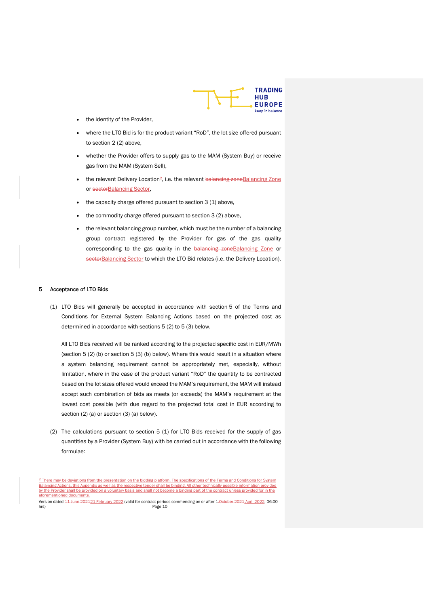

- the identity of the Provider,
- where the LTO Bid is for the product variant "RoD", the lot size offered pursuant to section 2 (2) above,
- whether the Provider offers to supply gas to the MAM (System Buy) or receive gas from the MAM (System Sell),
- the relevant Delivery Location<sup>2</sup>, i.e. the relevant balancing zone Balancing Zone or sectorBalancing Sector,
- the capacity charge offered pursuant to section 3 (1) above,
- the commodity charge offered pursuant to section 3 (2) above,
- the relevant balancing group number, which must be the number of a balancing group contract registered by the Provider for gas of the gas quality corresponding to the gas quality in the balancing zoneBalancing Zone or sectorBalancing Sector to which the LTO Bid relates (i.e. the Delivery Location).

#### 5 Acceptance of LTO Bids

(1) LTO Bids will generally be accepted in accordance with section 5 of the Terms and Conditions for External System Balancing Actions based on the projected cost as determined in accordance with sections 5 (2) to 5 (3) below.

All LTO Bids received will be ranked according to the projected specific cost in EUR/MWh (section 5 (2) (b) or section 5 (3) (b) below). Where this would result in a situation where a system balancing requirement cannot be appropriately met, especially, without limitation, where in the case of the product variant "RoD" the quantity to be contracted based on the lot sizes offered would exceed the MAM's requirement, the MAM will instead accept such combination of bids as meets (or exceeds) the MAM's requirement at the lowest cost possible (with due regard to the projected total cost in EUR according to section (2) (a) or section (3) (a) below).

(2) The calculations pursuant to section 5 (1) for LTO Bids received for the supply of gas quantities by a Provider (System Buy) with be carried out in accordance with the following formulae:

ay be deviations from the presentation on the bidding platform. The specifications of the Terms and Conditions for Sy Balancing Actions, this Appendix as well as the respective tender shall be binding. All other technically possible information provided by the Provider shall be provided on a voluntary basis and shall not become a binding part of the contract unless provided for in the aforementioned o

Version dated <del>11 June 202121 February 2022</del> (valid for contract periods commencing on or after 1.<del>October 2021</del> April 2022, 06:00 hrs) Page 10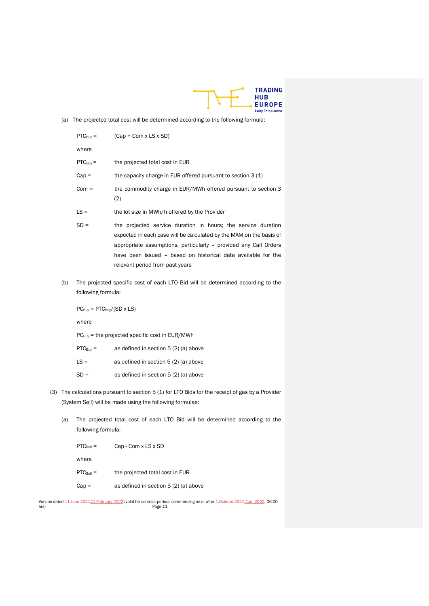

(a) The projected total cost will be determined according to the following formula:

|     | $PTC_{Buv} =$                                       | $(Cap + Com x LS x SD)$                                                                                                                                                                                                                                                                                      |
|-----|-----------------------------------------------------|--------------------------------------------------------------------------------------------------------------------------------------------------------------------------------------------------------------------------------------------------------------------------------------------------------------|
|     | where                                               |                                                                                                                                                                                                                                                                                                              |
|     | $PTC_{Buv} =$                                       | the projected total cost in EUR                                                                                                                                                                                                                                                                              |
|     | $Cap =$                                             | the capacity charge in EUR offered pursuant to section 3 (1)                                                                                                                                                                                                                                                 |
|     | $Com =$                                             | the commodity charge in EUR/MWh offered pursuant to section 3<br>(2)                                                                                                                                                                                                                                         |
|     | $LS =$                                              | the lot size in MWh/h offered by the Provider                                                                                                                                                                                                                                                                |
|     | $SD =$                                              | the projected service duration in hours; the service duration<br>expected in each case will be calculated by the MAM on the basis of<br>appropriate assumptions, particularly - provided any Call Orders<br>have been issued - based on historical data available for the<br>relevant period from past years |
| (b) | following formula:                                  | The projected specific cost of each LTO Bid will be determined according to the                                                                                                                                                                                                                              |
|     | $PC_{\text{Buv}} = PTC_{\text{Buv}}/(SD \times LS)$ |                                                                                                                                                                                                                                                                                                              |
|     | where                                               |                                                                                                                                                                                                                                                                                                              |
|     |                                                     | $PC_{\text{Buy}}$ = the projected specific cost in EUR/MWh                                                                                                                                                                                                                                                   |

| $\text{PTC}_{\text{Buv}} =$ | as defined in section 5 (2) (a) above |
|-----------------------------|---------------------------------------|
| $IS =$                      | as defined in section 5 (2) (a) above |

- $SD =$  as defined in section  $5(2)(a)$  above
- (3) The calculations pursuant to section 5 (1) for LTO Bids for the receipt of gas by a Provider (System Sell) will be made using the following formulae:
	- (a) The projected total cost of each LTO Bid will be determined according to the following formula:

| $PTC_{\text{Self}}$ = | Cap - Com x LS x SD                   |
|-----------------------|---------------------------------------|
| where                 |                                       |
| $PTC_{\text{Self}}$ = | the projected total cost in EUR       |
| $Cap =$               | as defined in section 5 (2) (a) above |

 $\mathbf{I}$ 

Version dated <del>11 June 2021</del>21 February 2022 (valid for contract periods commencing on or after 1<del>.0ctober 2021</del> April 2022, 06:00<br>hrs) Page 11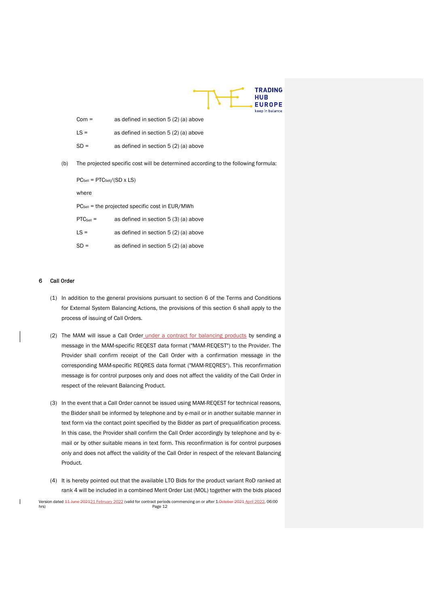

| $Com =$ | as defined in section 5 (2) (a) above |
|---------|---------------------------------------|
| $IS =$  | as defined in section 5 (2) (a) above |
| $SD =$  | as defined in section 5 (2) (a) above |

(b) The projected specific cost will be determined according to the following formula:

 $PC_{\text{Self}} = PTC_{\text{Self}}/(SD \times LS)$ 

where

PC<sub>Sell</sub> = the projected specific cost in EUR/MWh

| $\text{PTC}_{\text{Self}}$ = | as defined in section 5 (3) (a) above |  |
|------------------------------|---------------------------------------|--|
|------------------------------|---------------------------------------|--|

| LS = | as defined in section 5 (2) (a) above |
|------|---------------------------------------|
|------|---------------------------------------|

| $SD =$ | as defined in section 5 (2) (a) above |
|--------|---------------------------------------|
|--------|---------------------------------------|

#### 6 Call Order

- (1) In addition to the general provisions pursuant to section 6 of the Terms and Conditions for External System Balancing Actions, the provisions of this section 6 shall apply to the process of issuing of Call Orders.
- (2) The MAM will issue a Call Order under a contract for balancing products by sending a message in the MAM-specific REQEST data format ("MAM-REQEST") to the Provider. The Provider shall confirm receipt of the Call Order with a confirmation message in the corresponding MAM-specific REQRES data format ("MAM-REQRES"). This reconfirmation message is for control purposes only and does not affect the validity of the Call Order in respect of the relevant Balancing Product.
- (3) In the event that a Call Order cannot be issued using MAM-REQEST for technical reasons, the Bidder shall be informed by telephone and by e-mail or in another suitable manner in text form via the contact point specified by the Bidder as part of prequalification process. In this case, the Provider shall confirm the Call Order accordingly by telephone and by email or by other suitable means in text form. This reconfirmation is for control purposes only and does not affect the validity of the Call Order in respect of the relevant Balancing Product.
- (4) It is hereby pointed out that the available LTO Bids for the product variant RoD ranked at rank 4 will be included in a combined Merit Order List (MOL) together with the bids placed

Version dated <del>11 June 202121 February 2022</del> (valid for contract periods commencing on or after 1.<del>October 2021</del> April 2022, 06:00 hrs) Page 12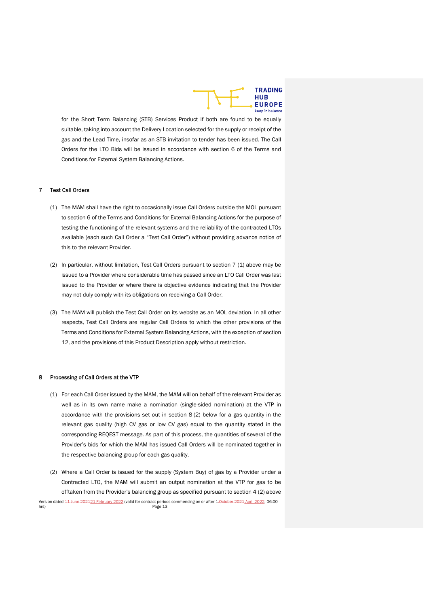

for the Short Term Balancing (STB) Services Product if both are found to be equally suitable, taking into account the Delivery Location selected for the supply or receipt of the gas and the Lead Time, insofar as an STB invitation to tender has been issued. The Call Orders for the LTO Bids will be issued in accordance with section 6 of the Terms and Conditions for External System Balancing Actions.

### 7 Test Call Orders

- (1) The MAM shall have the right to occasionally issue Call Orders outside the MOL pursuant to section 6 of the Terms and Conditions for External Balancing Actions for the purpose of testing the functioning of the relevant systems and the reliability of the contracted LTOs available (each such Call Order a "Test Call Order") without providing advance notice of this to the relevant Provider.
- (2) In particular, without limitation, Test Call Orders pursuant to section 7 (1) above may be issued to a Provider where considerable time has passed since an LTO Call Order was last issued to the Provider or where there is objective evidence indicating that the Provider may not duly comply with its obligations on receiving a Call Order.
- (3) The MAM will publish the Test Call Order on its website as an MOL deviation. In all other respects, Test Call Orders are regular Call Orders to which the other provisions of the Terms and Conditions for External System Balancing Actions, with the exception of section 12, and the provisions of this Product Description apply without restriction.

#### 8 Processing of Call Orders at the VTP

- (1) For each Call Order issued by the MAM, the MAM will on behalf of the relevant Provider as well as in its own name make a nomination (single-sided nomination) at the VTP in accordance with the provisions set out in section 8 (2) below for a gas quantity in the relevant gas quality (high CV gas or low CV gas) equal to the quantity stated in the corresponding REQEST message. As part of this process, the quantities of several of the Provider's bids for which the MAM has issued Call Orders will be nominated together in the respective balancing group for each gas quality.
- Version dated <del>11 June 202121 February 2022</del> (valid for contract periods commencing on or after 1.<del>October 2021</del> April 2022, 06:00 (2) Where a Call Order is issued for the supply (System Buy) of gas by a Provider under a Contracted LTO, the MAM will submit an output nomination at the VTP for gas to be offtaken from the Provider's balancing group as specified pursuant to section 4 (2) above

Page 13

 $\overline{\phantom{a}}$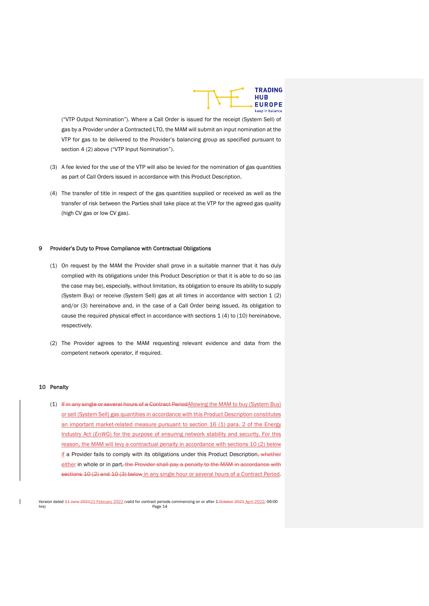

("VTP Output Nomination"). Where a Call Order is issued for the receipt (System Sell) of gas by a Provider under a Contracted LTO, the MAM will submit an input nomination at the VTP for gas to be delivered to the Provider's balancing group as specified pursuant to section 4 (2) above ("VTP Input Nomination").

- (3) A fee levied for the use of the VTP will also be levied for the nomination of gas quantities as part of Call Orders issued in accordance with this Product Description.
- (4) The transfer of title in respect of the gas quantities supplied or received as well as the transfer of risk between the Parties shall take place at the VTP for the agreed gas quality (high CV gas or low CV gas).

#### 9 Provider's Duty to Prove Compliance with Contractual Obligations

- (1) On request by the MAM the Provider shall prove in a suitable manner that it has duly complied with its obligations under this Product Description or that it is able to do so (as the case may be), especially, without limitation, its obligation to ensure its ability to supply (System Buy) or receive (System Sell) gas at all times in accordance with section 1 (2) and/or (3) hereinabove and, in the case of a Call Order being issued, its obligation to cause the required physical effect in accordance with sections  $1(4)$  to  $(10)$  hereinabove, respectively.
- (2) The Provider agrees to the MAM requesting relevant evidence and data from the competent network operator, if required.

#### 10 Penalty

(1) If in any single or several hours of a Contract PeriodAllowing the MAM to buy (System Buy) or sell (System Sell) gas quantities in accordance with this Product Description constitutes an important market-related measure pursuant to section 16 (1) para. 2 of the Energy Industry Act (EnWG) for the purpose of ensuring network stability and security. For this reason, the MAM will levy a contractual penalty in accordance with sections 10 (2) below if a Provider fails to comply with its obligations under this Product Description, whether either in whole or in part, the Provider shall pay a penalty to the MAM in accordance with sections 10 (2) and 10 (3) below in any single hour or several hours of a Contract Period.

Version dated <del>11 June 202121 February 2022</del> (valid for contract periods commencing on or after 1.<del>0ctober 2021</del> April 2022, 06:00 hrs) Page 14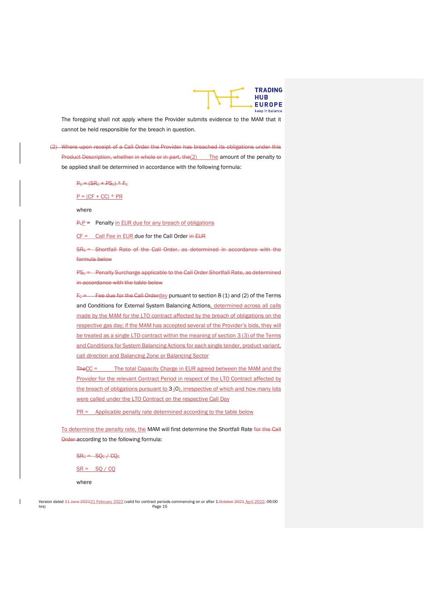

The foregoing shall not apply where the Provider submits evidence to the MAM that it cannot be held responsible for the breach in question.

(2) Where upon receipt of a Call Order the Provider has breached its obligations under this Product Description, whether in whole or in part, the(2) The amount of the penalty to be applied shall be determined in accordance with the following formula:

 $P<sub>G</sub> = (SR<sub>G</sub> + PS<sub>G</sub>) * F<sub>G</sub>$ 

 $P = (CF + CC) * PR$ 

where

 $P_{\rm E}$  = Penalty in EUR due for any breach of obligations

 $CF =$  Call Fee in EUR due for the Call Order in EUR

SRc = Shortfall Rate of the Call Order, as determined in accordance with the formula below

PS<sub>C</sub> = Penalty Surcharge applicable to the Call Order Shortfall Rate, as determined in accordance with the table below

 $F<sub>C</sub>$  = Fee due for the Call Orderday pursuant to section 8 (1) and (2) of the Terms and Conditions for External System Balancing Actions, determined across all calls made by the MAM for the LTO contract affected by the breach of obligations on the respective gas day; if the MAM has accepted several of the Provider's bids, they will be treated as a single LTO contract within the meaning of section 3 (3) of the Terms and Conditions for System Balancing Actions for each single tender, product variant, call direction and Balancing Zone or Balancing Sector

TheCC = The total Capacity Charge in EUR agreed between the MAM and the Provider for the relevant Contract Period in respect of the LTO Contract affected by the breach of obligations pursuant to 3<sub>1</sub>0), irrespective of which and how many lots were called under the LTO Contract on the respective Call Day

 $PR =$  Applicable penalty rate determined according to the table below

To determine the penalty rate, the MAM will first determine the Shortfall Rate for the Call Order according to the following formula:

 $SR<sub>C</sub> = SQ<sub>C</sub> + CQ<sub>C</sub>$ 

 $SR =$  SQ / CQ

where

Version dated <del>11 June 202121 February 2022</del> (valid for contract periods commencing on or after 1.<del>0ctober 2021</del> April 2022, 06:00 hrs) Page 15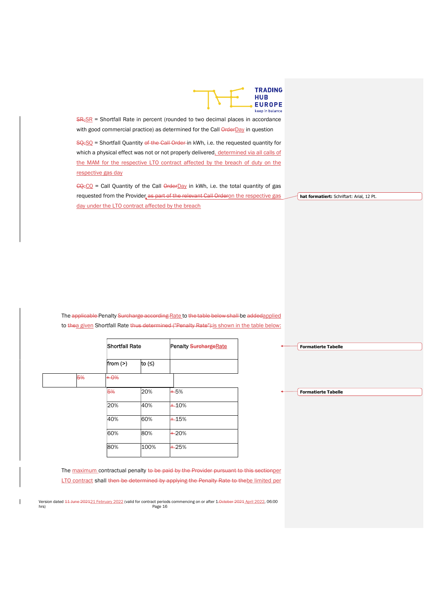

 $SRSSE$  = Shortfall Rate in percent (rounded to two decimal places in accordance with good commercial practice) as determined for the Call **OrderDay** in question  $SQcSO$  = Shortfall Quantity of the Call Order in kWh, i.e. the requested quantity for

which a physical effect was not or not properly delivered, determined via all calls of the MAM for the respective LTO contract affected by the breach of duty on the respective gas day

 $CQ_{c}CQ$  = Call Quantity of the Call  $Q_{r}CQ$  in kWh, i.e. the total quantity of gas requested from the Provider as part of the relevant Call Orderon the respective gas day under the LTO contract affected by the breach

hat formatiert: Schriftart: Arial, 12 Pt.

The applicable Penalty Surcharge according Rate to the table below shall be addedapplied to thea given Shortfall Rate thus determined ("Penalty Rate"): is shown in the table below:

|    | <b>Shortfall Rate</b> |        | <b>Penalty SurchargeRate</b> |  |
|----|-----------------------|--------|------------------------------|--|
|    | from $(>)$            | to (≤) |                              |  |
| 5% | $+0%$                 |        |                              |  |
|    | 5%                    | 20%    | $+5%$                        |  |
|    | 20%                   | 40%    | $+10%$                       |  |
|    | 40%                   | 60%    | $+15%$                       |  |
|    | 60%                   | 80%    | $+20%$                       |  |
|    | 80%                   | 100%   | $+25%$                       |  |

|                 | <b>Formatierte Tabelle</b> |
|-----------------|----------------------------|
|                 |                            |
|                 |                            |
|                 |                            |
|                 |                            |
|                 |                            |
| --------------- | <b>Formatierte Tabelle</b> |
|                 |                            |
|                 |                            |
|                 |                            |
|                 |                            |

The maximum contractual penalty to be paid by the Provider pursuant to this sectionper LTO contract shall then be determined by applying the Penalty Rate to the be limited per

Version dated <del>11 June 202121 February 2022</del> (valid for contract periods commencing on or after 1.<del>October 2021</del> April 2022, 06:00<br>
Page 16 hrs) Page 16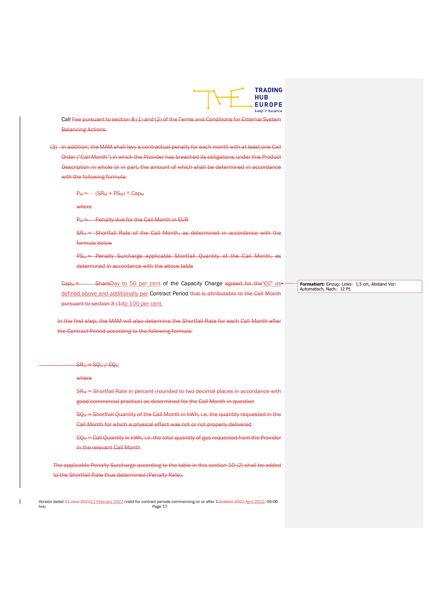

Call Fee pursuant to section 8 (1) and (2) of the Terms and Conditions for External System Balancing Actions.

(3) In addition, the MAM shall levy a contractual penalty for each month with at least one Call Order ("Call Month") in which the Provider has breached its obligations under this Product Description in whole or in part, the amount of which shall be determined in accordance with the following formula:

 $P_M = (SR_M + PS_M) * CapM$ 

where

P<sub>M</sub> = Penalty due for the Call Month in EUR

SR<sub>M</sub> = Shortfall Rate of the Call Month, as determined in accordance with the formula below

PS<sub>M</sub> = Penalty Surcharge applicable Shortfall Quantity of the Call Month, as determined in accordance with the above table

 $Cap_M =$  ShareDay to 50 per cent of the Capacity Charge agreed for the CC" as defined above and additionally per Contract Period that is attributable to the Call Month pursuant to section 3 (1)to 100 per cent.

In the first step, the MAM will also determine the Shortfall Rate for each Call Month after the Contract Period according to the following formula:

 $SR_M = SQ_M + CQ_M$ 

where

SR<sub>M</sub> = Shortfall Rate in percent (rounded to two decimal places in accordance with good commercial practice) as determined for the Call Month in question

SQM = Shortfall Quantity of the Call Month in kWh, i.e. the quantity requested in the Call Month for which a physical effect was not or not properly delivered

 $CQ_M =$  Call Quantity in kWh, i.e. the total quantity of gas requested from the Provider in the relevant Call Month

The applicable Penalty Surcharge according to the table in this section 10 (2) shall be added to the Shortfall Rate thus determined (Penalty Rate).

Version dated <del>11 June 202121 February 2022</del> (valid for contract periods commencing on or after 1.<del>0ctober 2021</del> April 2022, 06:00 hrs) Page 17

Formatiert: Einzug: Links: 1,5 cm, Abstand Vor: Automatisch, Nach: 12 Pt.